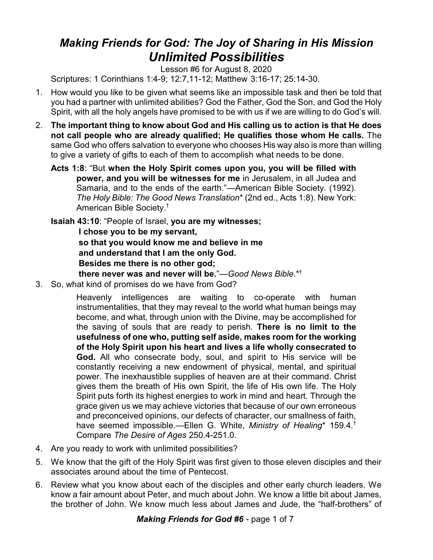## *Making Friends for God: The Joy of Sharing in His Mission Unlimited Possibilities*

Lesson #6 for August 8, 2020

Scriptures: 1 Corinthians 1:4-9; 12:7,11-12; Matthew 3:16-17; 25:14-30.

- 1. How would you like to be given what seems like an impossible task and then be told that you had a partner with unlimited abilities? God the Father, God the Son, and God the Holy Spirit, with all the holy angels have promised to be with us if we are willing to do God's will.
- 2. **The important thing to know about God and His calling us to action is that He does not call people who are already qualified; He qualifies those whom He calls.** The same God who offers salvation to everyone who chooses His way also is more than willing to give a variety of gifts to each of them to accomplish what needs to be done.
	- **Acts 1:8**: "But **when the Holy Spirit comes upon you, you will be filled with power, and you will be witnesses for me** in Jerusalem, in all Judea and Samaria, and to the ends of the earth."—American Bible Society. (1992). *The Holy Bible: The Good News Translation*\* (2nd ed., Acts 1:8). New York: American Bible Society. †

**Isaiah 43:10**: "People of Israel, **you are my witnesses; I chose you to be my servant, so that you would know me and believe in me and understand that I am the only God. Besides me there is no other god; there never was and never will be.**"—*Good News Bible*.\*†

3. So, what kind of promises do we have from God?

Heavenly intelligences are waiting to co-operate with human instrumentalities, that they may reveal to the world what human beings may become, and what, through union with the Divine, may be accomplished for the saving of souls that are ready to perish. **There is no limit to the usefulness of one who, putting self aside, makes room for the working of the Holy Spirit upon his heart and lives a life wholly consecrated to God.** All who consecrate body, soul, and spirit to His service will be constantly receiving a new endowment of physical, mental, and spiritual power. The inexhaustible supplies of heaven are at their command. Christ gives them the breath of His own Spirit, the life of His own life. The Holy Spirit puts forth its highest energies to work in mind and heart. Through the grace given us we may achieve victories that because of our own erroneous and preconceived opinions, our defects of character, our smallness of faith, have seemed impossible.—Ellen G. White, *Ministry of Healing*\* 159.4.† Compare *The Desire of Ages* 250.4-251.0.

- 4. Are you ready to work with unlimited possibilities?
- 5. We know that the gift of the Holy Spirit was first given to those eleven disciples and their associates around about the time of Pentecost.
- 6. Review what you know about each of the disciples and other early church leaders. We know a fair amount about Peter, and much about John. We know a little bit about James, the brother of John. We know much less about James and Jude, the "half-brothers" of

*Making Friends for God #6* - page 1 of 7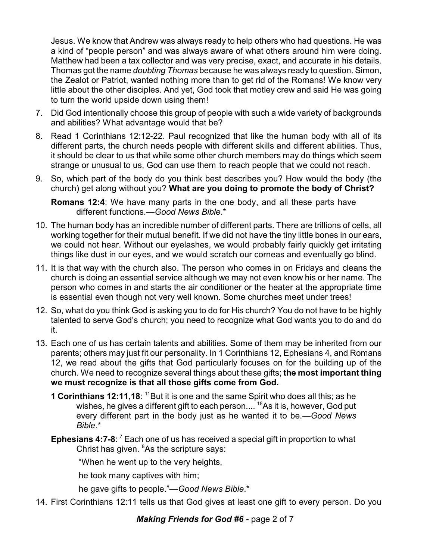Jesus. We know that Andrew was always ready to help others who had questions. He was a kind of "people person" and was always aware of what others around him were doing. Matthew had been a tax collector and was very precise, exact, and accurate in his details. Thomas got the name *doubting Thomas* because he was always ready to question. Simon, the Zealot or Patriot, wanted nothing more than to get rid of the Romans! We know very little about the other disciples. And yet, God took that motley crew and said He was going to turn the world upside down using them!

- 7. Did God intentionally choose this group of people with such a wide variety of backgrounds and abilities? What advantage would that be?
- 8. Read 1 Corinthians 12:12-22. Paul recognized that like the human body with all of its different parts, the church needs people with different skills and different abilities. Thus, it should be clear to us that while some other church members may do things which seem strange or unusual to us, God can use them to reach people that we could not reach.
- 9. So, which part of the body do you think best describes you? How would the body (the church) get along without you? **What are you doing to promote the body of Christ?**

**Romans 12:4**: We have many parts in the one body, and all these parts have different functions.—*Good News Bible*.\*

- 10. The human body has an incredible number of different parts. There are trillions of cells, all working together for their mutual benefit. If we did not have the tiny little bones in our ears, we could not hear. Without our eyelashes, we would probably fairly quickly get irritating things like dust in our eyes, and we would scratch our corneas and eventually go blind.
- 11. It is that way with the church also. The person who comes in on Fridays and cleans the church is doing an essential service although we may not even know his or her name. The person who comes in and starts the air conditioner or the heater at the appropriate time is essential even though not very well known. Some churches meet under trees!
- 12. So, what do you think God is asking you to do for His church? You do not have to be highly talented to serve God's church; you need to recognize what God wants you to do and do it.
- 13. Each one of us has certain talents and abilities. Some of them may be inherited from our parents; others may just fit our personality. In 1 Corinthians 12, Ephesians 4, and Romans 12, we read about the gifts that God particularly focuses on for the building up of the church. We need to recognize several things about these gifts; **the most important thing we must recognize is that all those gifts come from God.** 
	- **1 Corinthians 12:11,18**: <sup>11</sup>But it is one and the same Spirit who does all this; as he wishes, he gives a different gift to each person.... <sup>18</sup>As it is, however, God put every different part in the body just as he wanted it to be.—*Good News Bible*.\*
	- **Ephesians 4:7-8**: <sup>7</sup> Each one of us has received a special gift in proportion to what Christ has given. <sup>8</sup>As the scripture says:

"When he went up to the very heights,

he took many captives with him;

he gave gifts to people."—*Good News Bible*.\*

14. First Corinthians 12:11 tells us that God gives at least one gift to every person. Do you

*Making Friends for God #6* - page 2 of 7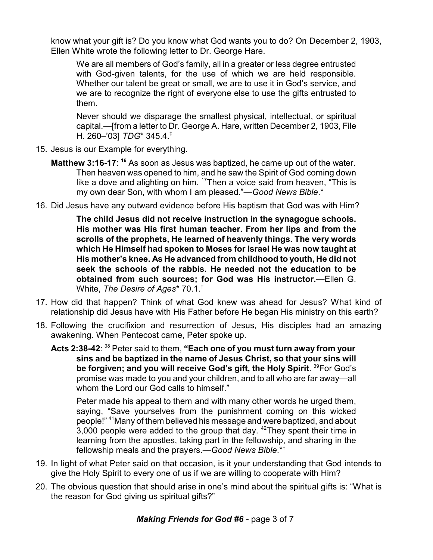know what your gift is? Do you know what God wants you to do? On December 2, 1903, Ellen White wrote the following letter to Dr. George Hare.

We are all members of God's family, all in a greater or less degree entrusted with God-given talents, for the use of which we are held responsible. Whether our talent be great or small, we are to use it in God's service, and we are to recognize the right of everyone else to use the gifts entrusted to them.

Never should we disparage the smallest physical, intellectual, or spiritual capital.—[from a letter to Dr. George A. Hare, written December 2, 1903, File H. 260–'03] *TDG*\* 345.4.‡

- 15. Jesus is our Example for everything.
	- **Matthew 3:16-17**: **<sup>16</sup>** As soon as Jesus was baptized, he came up out of the water. Then heaven was opened to him, and he saw the Spirit of God coming down like a dove and alighting on him. <sup>17</sup>Then a voice said from heaven, "This is my own dear Son, with whom I am pleased."—*Good News Bible*.\*
- 16. Did Jesus have any outward evidence before His baptism that God was with Him?

**The child Jesus did not receive instruction in the synagogue schools. His mother was His first human teacher. From her lips and from the scrolls of the prophets, He learned of heavenly things. The very words which He Himself had spoken to Moses for Israel He was now taught at His mother's knee. As He advanced from childhood to youth, He did not seek the schools of the rabbis. He needed not the education to be obtained from such sources; for God was His instructor.**—Ellen G. White, *The Desire of Ages*\* 70.1.†

- 17. How did that happen? Think of what God knew was ahead for Jesus? What kind of relationship did Jesus have with His Father before He began His ministry on this earth?
- 18. Following the crucifixion and resurrection of Jesus, His disciples had an amazing awakening. When Pentecost came, Peter spoke up.
	- **Acts 2:38-42**: <sup>38</sup> Peter said to them, **"Each one of you must turn away from your sins and be baptized in the name of Jesus Christ, so that your sins will be forgiven; and you will receive God's gift, the Holy Spirit**. <sup>39</sup>For God's promise was made to you and your children, and to all who are far away—all whom the Lord our God calls to himself."

Peter made his appeal to them and with many other words he urged them, saying, "Save yourselves from the punishment coming on this wicked people!" <sup>41</sup>Many of them believed his message and were baptized, and about 3,000 people were added to the group that day.  $42$ They spent their time in learning from the apostles, taking part in the fellowship, and sharing in the fellowship meals and the prayers.—*Good News Bible*.\*†

- 19. In light of what Peter said on that occasion, is it your understanding that God intends to give the Holy Spirit to every one of us if we are willing to cooperate with Him?
- 20. The obvious question that should arise in one's mind about the spiritual gifts is: "What is the reason for God giving us spiritual gifts?"

*Making Friends for God #6* - page 3 of 7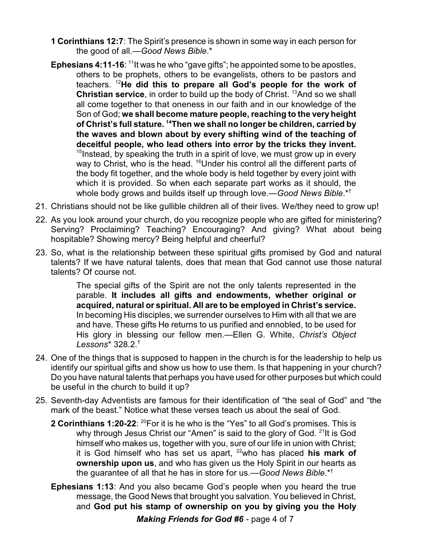- **1 Corinthians 12:7**: The Spirit's presence is shown in some way in each person for the good of all.—*Good News Bible*.\*
- **Ephesians 4:11-16**: <sup>11</sup>lt was he who "gave gifts"; he appointed some to be apostles, others to be prophets, others to be evangelists, others to be pastors and teachers. <sup>12</sup>**He did this to prepare all God's people for the work of Christian service**, in order to build up the body of Christ. <sup>13</sup>And so we shall all come together to that oneness in our faith and in our knowledge of the Son of God; **we shall become mature people, reaching to the very height of Christ's full stature. <sup>14</sup>Then we shall no longer be children, carried by the waves and blown about by every shifting wind of the teaching of deceitful people, who lead others into error by the tricks they invent.** <sup>15</sup>Instead, by speaking the truth in a spirit of love, we must grow up in every way to Christ, who is the head. <sup>16</sup>Under his control all the different parts of the body fit together, and the whole body is held together by every joint with which it is provided. So when each separate part works as it should, the whole body grows and builds itself up through love.—*Good News Bible*.\*†
- 21. Christians should not be like gullible children all of their lives. We/they need to grow up!
- 22. As you look around your church, do you recognize people who are gifted for ministering? Serving? Proclaiming? Teaching? Encouraging? And giving? What about being hospitable? Showing mercy? Being helpful and cheerful?
- 23. So, what is the relationship between these spiritual gifts promised by God and natural talents? If we have natural talents, does that mean that God cannot use those natural talents? Of course not.

The special gifts of the Spirit are not the only talents represented in the parable. **It includes all gifts and endowments, whether original or acquired, natural or spiritual. All are to be employed in Christ's service.** In becoming His disciples, we surrender ourselves to Him with all that we are and have. These gifts He returns to us purified and ennobled, to be used for His glory in blessing our fellow men.—Ellen G. White, *Christ's Object Lessons*\* 328.2.†

- 24. One of the things that is supposed to happen in the church is for the leadership to help us identify our spiritual gifts and show us how to use them. Is that happening in your church? Do you have natural talents that perhaps you have used for other purposes but which could be useful in the church to build it up?
- 25. Seventh-day Adventists are famous for their identification of "the seal of God" and "the mark of the beast." Notice what these verses teach us about the seal of God.
	- **2 Corinthians 1:20-22:** <sup>20</sup>For it is he who is the "Yes" to all God's promises. This is why through Jesus Christ our "Amen" is said to the glory of God. <sup>21</sup>It is God himself who makes us, together with you, sure of our life in union with Christ; it is God himself who has set us apart, <sup>22</sup>who has placed **his mark of ownership upon us**, and who has given us the Holy Spirit in our hearts as the guarantee of all that he has in store for us.—*Good News Bible*.\*†
	- **Ephesians 1:13**: And you also became God's people when you heard the true message, the Good News that brought you salvation. You believed in Christ, and **God put his stamp of ownership on you by giving you the Holy**

*Making Friends for God #6* - page 4 of 7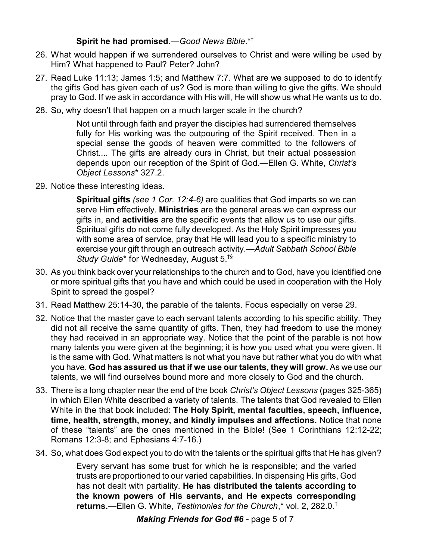## **Spirit he had promised.**—*Good News Bible*.\*†

- 26. What would happen if we surrendered ourselves to Christ and were willing be used by Him? What happened to Paul? Peter? John?
- 27. Read Luke 11:13; James 1:5; and Matthew 7:7. What are we supposed to do to identify the gifts God has given each of us? God is more than willing to give the gifts. We should pray to God. If we ask in accordance with His will, He will show us what He wants us to do.
- 28. So, why doesn't that happen on a much larger scale in the church?

Not until through faith and prayer the disciples had surrendered themselves fully for His working was the outpouring of the Spirit received. Then in a special sense the goods of heaven were committed to the followers of Christ.... The gifts are already ours in Christ, but their actual possession depends upon our reception of the Spirit of God.—Ellen G. White, *Christ's Object Lessons*\* 327.2.

29. Notice these interesting ideas.

**Spiritual gifts** *(see 1 Cor. 12:4-6)* are qualities that God imparts so we can serve Him effectively. **Ministries** are the general areas we can express our gifts in, and **activities** are the specific events that allow us to use our gifts. Spiritual gifts do not come fully developed. As the Holy Spirit impresses you with some area of service, pray that He will lead you to a specific ministry to exercise your gift through an outreach activity.—*Adult Sabbath School Bible Study Guide*\* for Wednesday, August 5.†§

- 30. As you think back over your relationships to the church and to God, have you identified one or more spiritual gifts that you have and which could be used in cooperation with the Holy Spirit to spread the gospel?
- 31. Read Matthew 25:14-30, the parable of the talents. Focus especially on verse 29.
- 32. Notice that the master gave to each servant talents according to his specific ability. They did not all receive the same quantity of gifts. Then, they had freedom to use the money they had received in an appropriate way. Notice that the point of the parable is not how many talents you were given at the beginning; it is how you used what you were given. It is the same with God. What matters is not what you have but rather what you do with what you have. **God has assured us that if we use our talents, they will grow.** As we use our talents, we will find ourselves bound more and more closely to God and the church.
- 33. There is a long chapter near the end of the book *Christ's Object Lessons* (pages 325-365) in which Ellen White described a variety of talents. The talents that God revealed to Ellen White in the that book included: **The Holy Spirit, mental faculties, speech, influence, time, health, strength, money, and kindly impulses and affections.** Notice that none of these "talents" are the ones mentioned in the Bible! (See 1 Corinthians 12:12-22; Romans 12:3-8; and Ephesians 4:7-16.)
- 34. So, what does God expect you to do with the talents or the spiritual gifts that He has given?

Every servant has some trust for which he is responsible; and the varied trusts are proportioned to our varied capabilities. In dispensing His gifts, God has not dealt with partiality. **He has distributed the talents according to the known powers of His servants, and He expects corresponding returns.**—Ellen G. White, *Testimonies for the Church*,\* vol. 2, 282.0.†

*Making Friends for God #6* - page 5 of 7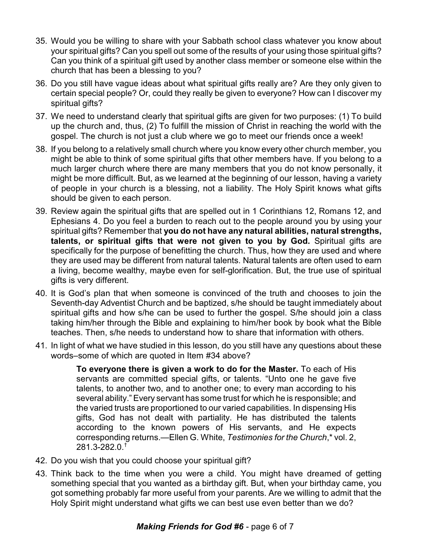- 35. Would you be willing to share with your Sabbath school class whatever you know about your spiritual gifts? Can you spell out some of the results of your using those spiritual gifts? Can you think of a spiritual gift used by another class member or someone else within the church that has been a blessing to you?
- 36. Do you still have vague ideas about what spiritual gifts really are? Are they only given to certain special people? Or, could they really be given to everyone? How can I discover my spiritual gifts?
- 37. We need to understand clearly that spiritual gifts are given for two purposes: (1) To build up the church and, thus, (2) To fulfill the mission of Christ in reaching the world with the gospel. The church is not just a club where we go to meet our friends once a week!
- 38. If you belong to a relatively small church where you know every other church member, you might be able to think of some spiritual gifts that other members have. If you belong to a much larger church where there are many members that you do not know personally, it might be more difficult. But, as we learned at the beginning of our lesson, having a variety of people in your church is a blessing, not a liability. The Holy Spirit knows what gifts should be given to each person.
- 39. Review again the spiritual gifts that are spelled out in 1 Corinthians 12, Romans 12, and Ephesians 4. Do you feel a burden to reach out to the people around you by using your spiritual gifts? Remember that **you do not have any natural abilities, natural strengths, talents, or spiritual gifts that were not given to you by God.** Spiritual gifts are specifically for the purpose of benefitting the church. Thus, how they are used and where they are used may be different from natural talents. Natural talents are often used to earn a living, become wealthy, maybe even for self-glorification. But, the true use of spiritual gifts is very different.
- 40. It is God's plan that when someone is convinced of the truth and chooses to join the Seventh-day Adventist Church and be baptized, s/he should be taught immediately about spiritual gifts and how s/he can be used to further the gospel. S/he should join a class taking him/her through the Bible and explaining to him/her book by book what the Bible teaches. Then, s/he needs to understand how to share that information with others.
- 41. In light of what we have studied in this lesson, do you still have any questions about these words–some of which are quoted in Item #34 above?

**To everyone there is given a work to do for the Master.** To each of His servants are committed special gifts, or talents. "Unto one he gave five talents, to another two, and to another one; to every man according to his several ability." Every servant has some trust for which he is responsible; and the varied trusts are proportioned to our varied capabilities. In dispensing His gifts, God has not dealt with partiality. He has distributed the talents according to the known powers of His servants, and He expects corresponding returns.—Ellen G. White, *Testimonies for the Church*,\* vol. 2, 281.3-282.0.†

- 42. Do you wish that you could choose your spiritual gift?
- 43. Think back to the time when you were a child. You might have dreamed of getting something special that you wanted as a birthday gift. But, when your birthday came, you got something probably far more useful from your parents. Are we willing to admit that the Holy Spirit might understand what gifts we can best use even better than we do?